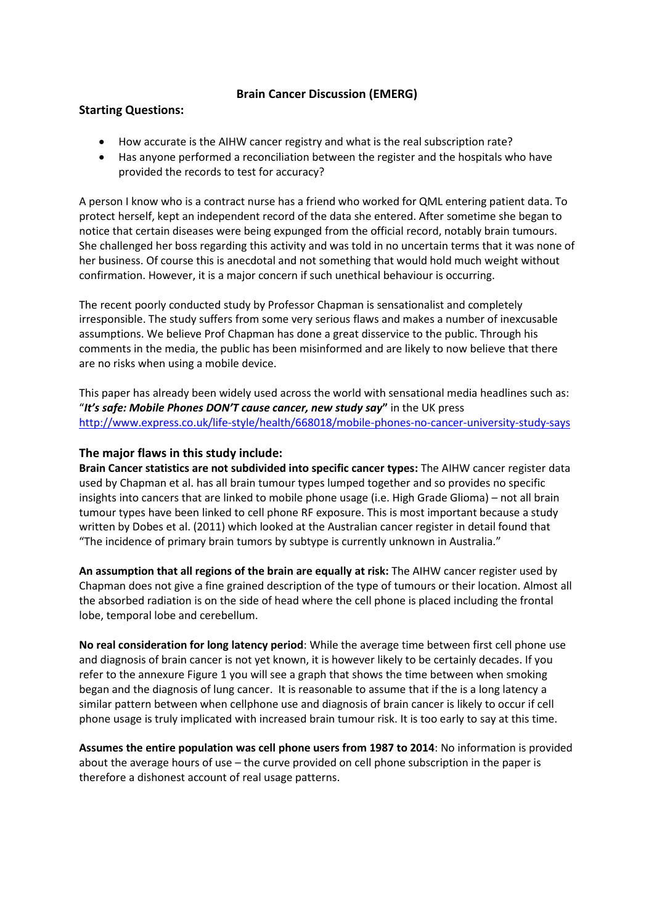## **Brain Cancer Discussion (EMERG)**

## **Starting Questions:**

- How accurate is the AIHW cancer registry and what is the real subscription rate?
- Has anyone performed a reconciliation between the register and the hospitals who have provided the records to test for accuracy?

A person I know who is a contract nurse has a friend who worked for QML entering patient data. To protect herself, kept an independent record of the data she entered. After sometime she began to notice that certain diseases were being expunged from the official record, notably brain tumours. She challenged her boss regarding this activity and was told in no uncertain terms that it was none of her business. Of course this is anecdotal and not something that would hold much weight without confirmation. However, it is a major concern if such unethical behaviour is occurring.

The recent poorly conducted study by Professor Chapman is sensationalist and completely irresponsible. The study suffers from some very serious flaws and makes a number of inexcusable assumptions. We believe Prof Chapman has done a great disservice to the public. Through his comments in the media, the public has been misinformed and are likely to now believe that there are no risks when using a mobile device.

This paper has already been widely used across the world with sensational media headlines such as: "*It's safe: Mobile Phones DON'T cause cancer, new study say***"** in the UK press <http://www.express.co.uk/life-style/health/668018/mobile-phones-no-cancer-university-study-says>

## **The major flaws in this study include:**

**Brain Cancer statistics are not subdivided into specific cancer types:** The AIHW cancer register data used by Chapman et al. has all brain tumour types lumped together and so provides no specific insights into cancers that are linked to mobile phone usage (i.e. High Grade Glioma) – not all brain tumour types have been linked to cell phone RF exposure. This is most important because a study written by Dobes et al. (2011) which looked at the Australian cancer register in detail found that "The incidence of primary brain tumors by subtype is currently unknown in Australia."

**An assumption that all regions of the brain are equally at risk:** The AIHW cancer register used by Chapman does not give a fine grained description of the type of tumours or their location. Almost all the absorbed radiation is on the side of head where the cell phone is placed including the frontal lobe, temporal lobe and cerebellum.

**No real consideration for long latency period**: While the average time between first cell phone use and diagnosis of brain cancer is not yet known, it is however likely to be certainly decades. If you refer to the annexure Figure 1 you will see a graph that shows the time between when smoking began and the diagnosis of lung cancer. It is reasonable to assume that if the is a long latency a similar pattern between when cellphone use and diagnosis of brain cancer is likely to occur if cell phone usage is truly implicated with increased brain tumour risk. It is too early to say at this time.

**Assumes the entire population was cell phone users from 1987 to 2014**: No information is provided about the average hours of use – the curve provided on cell phone subscription in the paper is therefore a dishonest account of real usage patterns.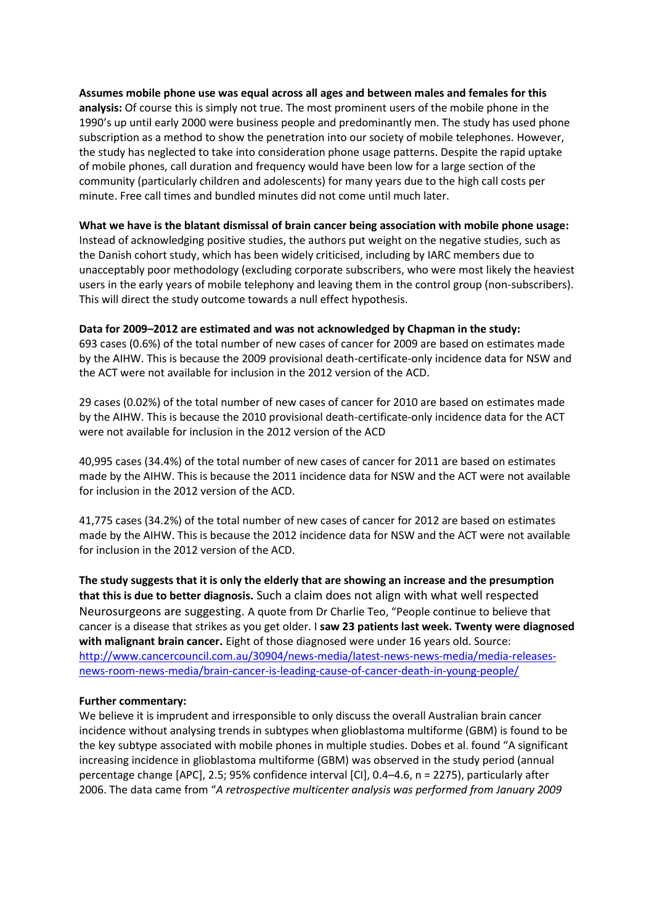**Assumes mobile phone use was equal across all ages and between males and females for this analysis:** Of course this is simply not true. The most prominent users of the mobile phone in the 1990's up until early 2000 were business people and predominantly men. The study has used phone subscription as a method to show the penetration into our society of mobile telephones. However, the study has neglected to take into consideration phone usage patterns. Despite the rapid uptake of mobile phones, call duration and frequency would have been low for a large section of the community (particularly children and adolescents) for many years due to the high call costs per minute. Free call times and bundled minutes did not come until much later.

### **What we have is the blatant dismissal of brain cancer being association with mobile phone usage:**

Instead of acknowledging positive studies, the authors put weight on the negative studies, such as the Danish cohort study, which has been widely criticised, including by IARC members due to unacceptably poor methodology (excluding corporate subscribers, who were most likely the heaviest users in the early years of mobile telephony and leaving them in the control group (non-subscribers). This will direct the study outcome towards a null effect hypothesis.

#### **Data for 2009–2012 are estimated and was not acknowledged by Chapman in the study:**

693 cases (0.6%) of the total number of new cases of cancer for 2009 are based on estimates made by the AIHW. This is because the 2009 provisional death-certificate-only incidence data for NSW and the ACT were not available for inclusion in the 2012 version of the ACD.

29 cases (0.02%) of the total number of new cases of cancer for 2010 are based on estimates made by the AIHW. This is because the 2010 provisional death-certificate-only incidence data for the ACT were not available for inclusion in the 2012 version of the ACD

40,995 cases (34.4%) of the total number of new cases of cancer for 2011 are based on estimates made by the AIHW. This is because the 2011 incidence data for NSW and the ACT were not available for inclusion in the 2012 version of the ACD.

41,775 cases (34.2%) of the total number of new cases of cancer for 2012 are based on estimates made by the AIHW. This is because the 2012 incidence data for NSW and the ACT were not available for inclusion in the 2012 version of the ACD.

**The study suggests that it is only the elderly that are showing an increase and the presumption that this is due to better diagnosis.** Such a claim does not align with what well respected Neurosurgeons are suggesting. A quote from Dr Charlie Teo, "People continue to believe that cancer is a disease that strikes as you get older. I **saw 23 patients last week. Twenty were diagnosed with malignant brain cancer.** Eight of those diagnosed were under 16 years old. Source: [http://www.cancercouncil.com.au/30904/news-media/latest-news-news-media/media-releases](http://www.cancercouncil.com.au/30904/news-media/latest-news-news-media/media-releases-news-room-news-media/brain-cancer-is-leading-cause-of-cancer-death-in-young-people/)[news-room-news-media/brain-cancer-is-leading-cause-of-cancer-death-in-young-people/](http://www.cancercouncil.com.au/30904/news-media/latest-news-news-media/media-releases-news-room-news-media/brain-cancer-is-leading-cause-of-cancer-death-in-young-people/)

#### **Further commentary:**

We believe it is imprudent and irresponsible to only discuss the overall Australian brain cancer incidence without analysing trends in subtypes when glioblastoma multiforme (GBM) is found to be the key subtype associated with mobile phones in multiple studies. Dobes et al. found "A significant increasing incidence in glioblastoma multiforme (GBM) was observed in the study period (annual percentage change [APC], 2.5; 95% confidence interval [CI], 0.4–4.6, n = 2275), particularly after 2006. The data came from "*A retrospective multicenter analysis was performed from January 2009*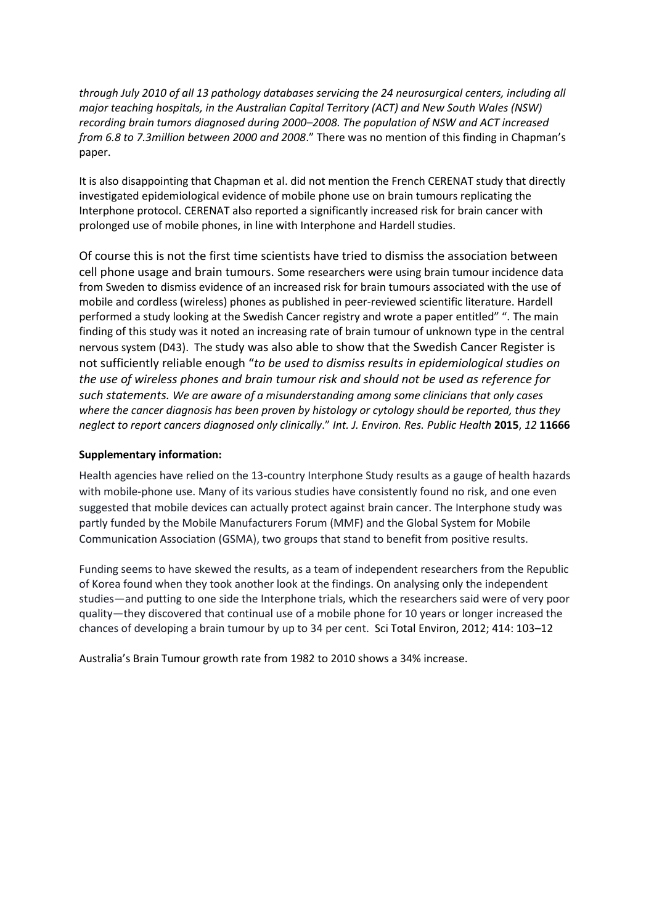*through July 2010 of all 13 pathology databases servicing the 24 neurosurgical centers, including all major teaching hospitals, in the Australian Capital Territory (ACT) and New South Wales (NSW) recording brain tumors diagnosed during 2000–2008. The population of NSW and ACT increased from 6.8 to 7.3million between 2000 and 2008*." There was no mention of this finding in Chapman's paper.

It is also disappointing that Chapman et al. did not mention the French CERENAT study that directly investigated epidemiological evidence of mobile phone use on brain tumours replicating the Interphone protocol. CERENAT also reported a significantly increased risk for brain cancer with prolonged use of mobile phones, in line with Interphone and Hardell studies.

Of course this is not the first time scientists have tried to dismiss the association between cell phone usage and brain tumours. Some researchers were using brain tumour incidence data from Sweden to dismiss evidence of an increased risk for brain tumours associated with the use of mobile and cordless (wireless) phones as published in peer-reviewed scientific literature. Hardell performed a study looking at the Swedish Cancer registry and wrote a paper entitled" ". The main finding of this study was it noted an increasing rate of brain tumour of unknown type in the central nervous system (D43). The study was also able to show that the Swedish Cancer Register is not sufficiently reliable enough "*to be used to dismiss results in epidemiological studies on the use of wireless phones and brain tumour risk and should not be used as reference for such statements. We are aware of a misunderstanding among some clinicians that only cases where the cancer diagnosis has been proven by histology or cytology should be reported, thus they neglect to report cancers diagnosed only clinically*." *Int. J. Environ. Res. Public Health* **2015**, *12* **11666** 

## **Supplementary information:**

Health agencies have relied on the 13-country Interphone Study results as a gauge of health hazards with mobile-phone use. Many of its various studies have consistently found no risk, and one even suggested that mobile devices can actually protect against brain cancer. The Interphone study was partly funded by the Mobile Manufacturers Forum (MMF) and the Global System for Mobile Communication Association (GSMA), two groups that stand to benefit from positive results.

Funding seems to have skewed the results, as a team of independent researchers from the Republic of Korea found when they took another look at the findings. On analysing only the independent studies—and putting to one side the Interphone trials, which the researchers said were of very poor quality—they discovered that continual use of a mobile phone for 10 years or longer increased the chances of developing a brain tumour by up to 34 per cent. Sci Total Environ, 2012; 414: 103–12

Australia's Brain Tumour growth rate from 1982 to 2010 shows a 34% increase.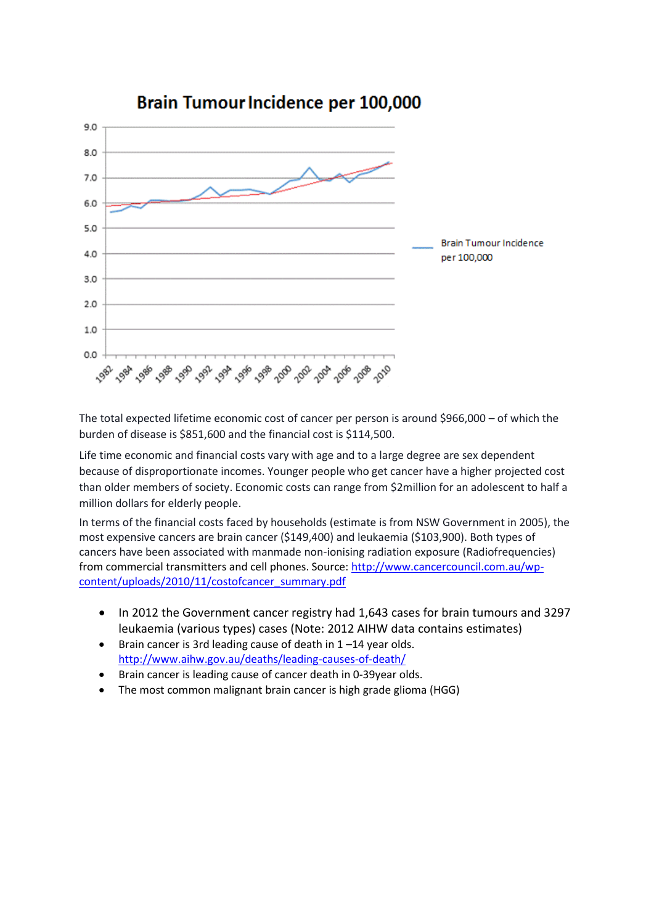

# Brain Tumour Incidence per 100,000

The total expected lifetime economic cost of cancer per person is around \$966,000 – of which the burden of disease is \$851,600 and the financial cost is \$114,500.

Life time economic and financial costs vary with age and to a large degree are sex dependent because of disproportionate incomes. Younger people who get cancer have a higher projected cost than older members of society. Economic costs can range from \$2million for an adolescent to half a million dollars for elderly people.

In terms of the financial costs faced by households (estimate is from NSW Government in 2005), the most expensive cancers are brain cancer (\$149,400) and leukaemia (\$103,900). Both types of cancers have been associated with manmade non-ionising radiation exposure (Radiofrequencies) from commercial transmitters and cell phones. Source: [http://www.cancercouncil.com.au/wp](http://www.cancercouncil.com.au/wp-content/uploads/2010/11/costofcancer_summary.pdf)[content/uploads/2010/11/costofcancer\\_summary.pdf](http://www.cancercouncil.com.au/wp-content/uploads/2010/11/costofcancer_summary.pdf)

- In 2012 the Government cancer registry had 1,643 cases for brain tumours and 3297 leukaemia (various types) cases (Note: 2012 AIHW data contains estimates)
- $\bullet$  Brain cancer is 3rd leading cause of death in 1-14 year olds. <http://www.aihw.gov.au/deaths/leading-causes-of-death/>
- Brain cancer is leading cause of cancer death in 0-39year olds.
- The most common malignant brain cancer is high grade glioma (HGG)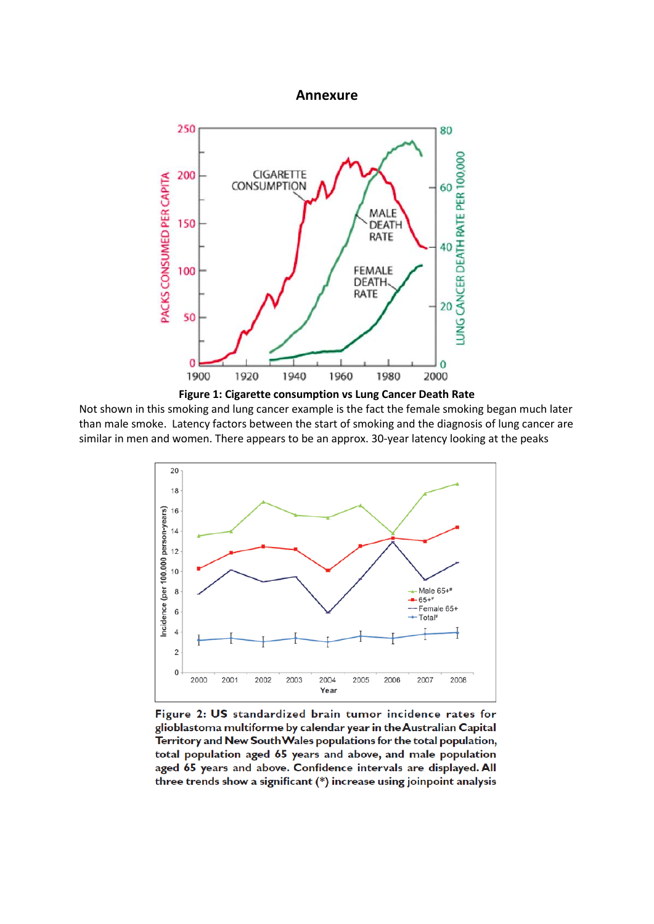#### **Annexure**



**Figure 1: Cigarette consumption vs Lung Cancer Death Rate**

Not shown in this smoking and lung cancer example is the fact the female smoking began much later than male smoke. Latency factors between the start of smoking and the diagnosis of lung cancer are similar in men and women. There appears to be an approx. 30-year latency looking at the peaks



Figure 2: US standardized brain tumor incidence rates for glioblastoma multiforme by calendar year in the Australian Capital Territory and New South Wales populations for the total population, total population aged 65 years and above, and male population aged 65 years and above. Confidence intervals are displayed. All three trends show a significant (\*) increase using joinpoint analysis